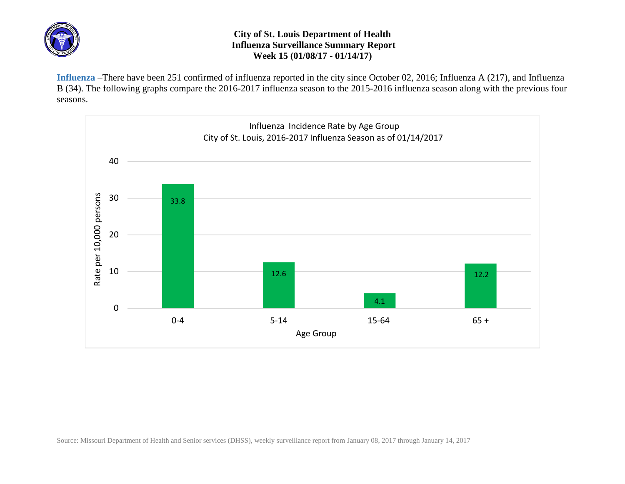

## **City of St. Louis Department of Health Influenza Surveillance Summary Report Week 15 (01/08/17 - 01/14/17)**

**Influenza** –There have been 251 confirmed of influenza reported in the city since October 02, 2016; Influenza A (217), and Influenza B (34). The following graphs compare the 2016-2017 influenza season to the 2015-2016 influenza season along with the previous four seasons.